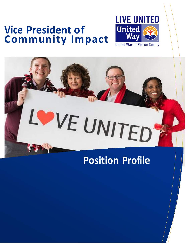# **Vice President of Community Impact**



# VE UNITED

# **Position Profile**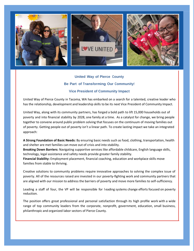

# **United Way of Pierce County Be Part of Transforming Our Community! Vice President of Community Impact**

United Way of Pierce County in Tacoma, WA has embarked on a search for a talented, creative leader who has the relationship, development and leadership skills to be its next Vice President of Community Impact.

United Way, along with its community partners, has forged a bold path to lift 15,000 households out of poverty and into financial stability by 2028, one family at a time. As a catalyst for change, we bring people together to convene around public problem solving that focuses on the continuum of moving families out of poverty. Getting people out of poverty isn't a linear path. To create lasting impact we take an integrated approach:

**A Strong Foundation of Basic Needs:** By ensuring basic needs such as food, clothing, transportation, health and shelter are met families can move out of crisis and into stability.

**Breaking Down Barriers:** Navigating supportive services like affordable childcare, English language skills, technology, legal assistance and safety needs provide greater family stability.

**Financial Stability:** Employment placement, financial coaching, education and workplace skills move families from stable to thriving.

Creative solutions to community problems require innovative approaches to solving the complex issue of poverty. All of the resources raised are invested in our poverty-fighting work and community partners that are aligned with our mission to address the barriers of poverty and move more families to self-sufficiency.

Leading a staff of four, the VP will be responsible for l eading systems change efforts focused on poverty reduction.

The position offers great professional and personal satisfaction through its high profile work with a wide range of top community leaders from the corporate, nonprofit, government, education, small business, philanthropic and organized labor sectors of Pierce County.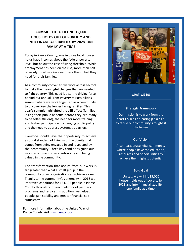## **COMMITTED TO LIFTING 15,000 HOUSEHOLDS OUT OF POVERTY AND INTO FINANCIAL STABILITY BY 2028, ONE FAMILY AT A TIME**

Today in Pierce County, one in three local households have incomes above the federal poverty level, but below the cost of living threshold. While employment has been on the rise, more than half of newly hired workers earn less than what they need for their families.

As a community convener, we work across sectors to make the meaningful changes that are needed to fight poverty. This need is also the driving force behind our annual From Poverty to Possibilities summit where we work together, as a community, to uncover key challenges facing families. This year's summit highlighted the cliff effect (families losing their public benefits before they are ready to be self-sufficient), the need for more training and higher participation in changing public policy and the need to address systematic barriers.

Everyone should have the opportunity to achieve a sound standard of living with the dignity that comes from being engaged in and respected by their community. Three key conditions guide our work: economic success, autonomy and being valued in the community.

The transformation that occurs from our work is far greater than what a small group in the community or an organization can achieve alone. Thanks to the community's generosity in 2018 we improved conditions for 124,105 people in Pierce County through our direct network of partners, programs and services. In addition, we helped people gain stability and greater financial selfsufficiency.

For more information about the United Way of Pierce County visit [www.uwpc.org](http://www.uwpc.org/)



**WHAT WE DO**

#### **Strategic Framework**

Our mission is to work from the heart to unite caring people to tackle our community's toughest challenges

#### **Our Vision**

A compassionate, vital community where people have the education, resources and opportunities to achieve their highest potential

#### **Bold Goal**

United, we will lift 15,000 house- holds out of poverty by 2028 and into financial stability, one family at a time.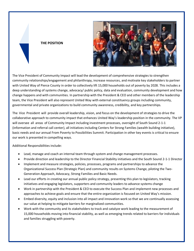#### **THE POSITION**



The Vice President of Community Impact will lead the development of comprehensive strategies to strengthen community relationships/engagement and philanthropy, increase resources, and motivate key stakeholders to partner with United Way of Pierce County in order to collectively lift 15,000 households out of poverty by 2028. This includes a deep understanding of systems change, advocacy/ public policy, data and evaluation, community development and how change happens and with communities. In partnership with the President & CEO and other members of the leadership team, the Vice President will also represent United Way with external constituency groups including community, governmental and private organizations to build community awareness, credibility, and key partnerships.

The Vice President will provide overall leadership, vision, and focus on the development of strategies to drive the collaborative approach to community impact that enhances United Way's leadership position in the community. The VP will oversee all areas of Community Impact including investment processes, oversight of South Sound 2-1-1 (information and referral call center), all initiatives including Centers for Strong Families (wealth building initiative), basic needs and our annual From Poverty to Possibilities Summit. Participation in other key events is critical to ensure our work is presented in compelling ways.

Additional Responsibilities include:

- Lead, manage and coach an internal team through system and change management processes.
- Provide direction and leadership to the Director Financial Stability initiatives and the South Sound 2-1-1 Director
- Implement and measure strategies, policies, processes, programs and partnerships to advance the Organizational Success Plan (Strategic Plan) and community results on Systems Change, piloting the Two-Generation Approach, Advocacy, Strong Families and Basic Needs.
- Lead our efforts in creating our annual public policy strategy, presenting this plan to legislators, tracking initiatives and engaging legislators, supporters and community leaders to advance systems change
- Work in partnership with the President & CEO to execute the Success Plan and implement new processes and approaches to achieve goals and ensure that the entire organization is focused on United Way's mission.
- Embed diversity, equity and inclusion into all impact and innovation work so that we are continually assessing our value at helping to mitigate barriers for marginalized communities.
- Work with the community and its stakeholders to track and catalyze work leading to the measurement of 15,000 households moving into financial stability, as well as emerging trends related to barriers for individuals and families struggling with poverty.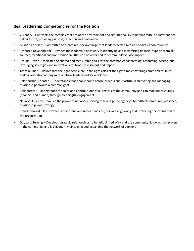# **Ideal Leadership Competencies for the Position**

- Visionary Confronts the complex realities of the environment and simultaneously maintains faith in a different and better future, providing purpose, direction and motivation
- Mission-Focused Committed to create real social change that leadsto betterlives and healthier communities
- Resource Development Provides the leadership necessary in identifying and maximizing financial support from all sources, traditional and non-traditional, that can be mobilized for community service impact
- Results-Driven Dedicated to shared and measurable goals for the common good; creating, resourcing, scaling, and leveraging strategies and innovations for broad investment and impact
- Team Builder Ensures that the right people are in the right roles at the right times; fostering commitment, trust, and collaboration among multi-cultural leaders and stakeholders
- Relationship-Oriented Understands that people come before process and is astute in cultivating and managing relationships toward a common goal
- Collaborator Understands the roles and contributions of all sectors of the community and can mobilize resources (financial and human) through meaningful engagement
- Network Oriented Values the power of networks; serving to leverage the agency's breadth of community presence, relationship, and strategy
- Brand-Steward Is a steward of the brand and understands his/her role in growing and protecting the reputation of the organization
- Outward-Turning Develops strategic relationships to benefit United Way and the community; knowing key players in the community and is diligent in maintaining and expanding the network of partners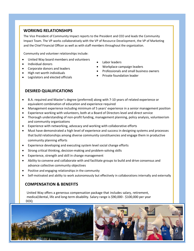## **WORKING RELATIONSHIPS**

The Vice President of Community Impact reports to the President and CEO and leads the Community Impact Team. The VP works collaboratively with the VP of Resource Development, the VP of Marketing and the Chief Financial Officer as well as with staff members throughout the organization.

Community and volunteer relationships include:

- United Way board members and volunteers
- Individual donors
- Corporate donors and leaders
- High net worth individuals
- Legislators and elected officials
- Labor leaders
- Workplace campaign leaders
- Professionals and small business owners
- Private foundation leader

# **DESIRED QUALIFICATIONS**

- B.A. required and Master's degree (preferred) along with 7-10 years of related experience or equivalent combination of education and experience required
- Management experience including minimum of 5 years' experience in a senior management position
- Experience working with volunteers, both at a Board of Directors level and direct service
- Thorough understanding of non-profit funding, management planning, policy analysis, volunteerism and community organizations
- Experience with networking, advocacy and working with collaborative efforts
- Must have demonstrated a high level of experience and success in designing systems and processes that build relationships among diverse community constituencies and engage them in productive community planning efforts
- Experience developing and executing system level social change efforts
- Strong critical thinking, decision-making and problem-solving skills
- Experience, strength and skill in change management
- Ability to convene and collaborate with and facilitate groups to build and drive consensus and advance collective community objectives
- Positive and engaging relationships in the community
- Self-motivated and ability to work autonomously but effectively in collaborations internally and externally

## **COMPENSATION & BENEFITS**

United Way offers a generous compensation package that includes salary, retirement, medical/dental, life and long-term disability. Salary range is \$90,000 - \$100,000 per year DOQ